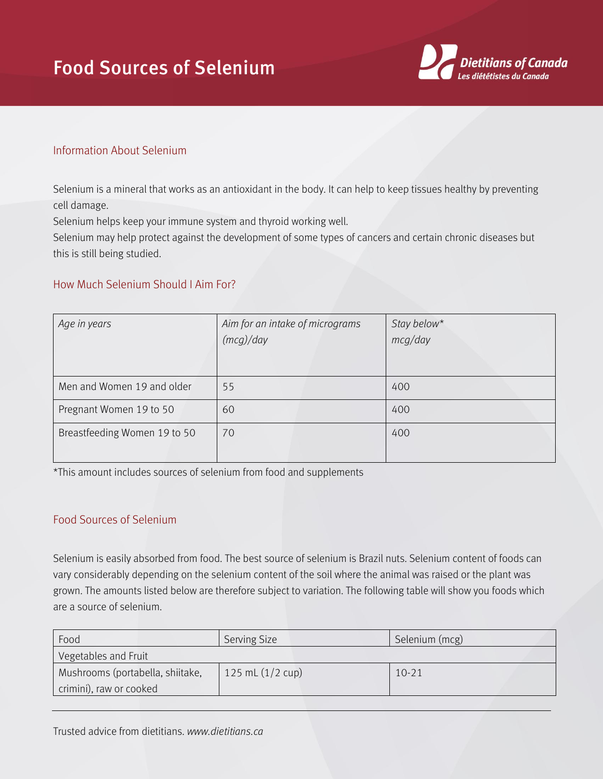## Food Sources of Selenium



## Information About Selenium

Selenium is a mineral that works as an antioxidant in the body. It can help to keep tissues healthy by preventing cell damage.

Selenium helps keep your immune system and thyroid working well.

Selenium may help protect against the development of some types of cancers and certain chronic diseases but this is still being studied.

## How Much Selenium Should I Aim For?

| Age in years                 | Aim for an intake of micrograms<br>(mcg)/day | Stay below*<br>mcq/day |
|------------------------------|----------------------------------------------|------------------------|
| Men and Women 19 and older   | 55                                           | 400                    |
| Pregnant Women 19 to 50      | 60                                           | 400                    |
| Breastfeeding Women 19 to 50 | 70                                           | 400                    |

\*This amount includes sources of selenium from food and supplements

## Food Sources of Selenium

Selenium is easily absorbed from food. The best source of selenium is Brazil nuts. Selenium content of foods can vary considerably depending on the selenium content of the soil where the animal was raised or the plant was grown. The amounts listed below are therefore subject to variation. The following table will show you foods which are a source of selenium.

| Food                             | <b>Serving Size</b> | Selenium (mcg) |
|----------------------------------|---------------------|----------------|
| Vegetables and Fruit             |                     |                |
| Mushrooms (portabella, shiitake, | 125 mL $(1/2$ cup)  | $10-21$        |
| crimini), raw or cooked          |                     |                |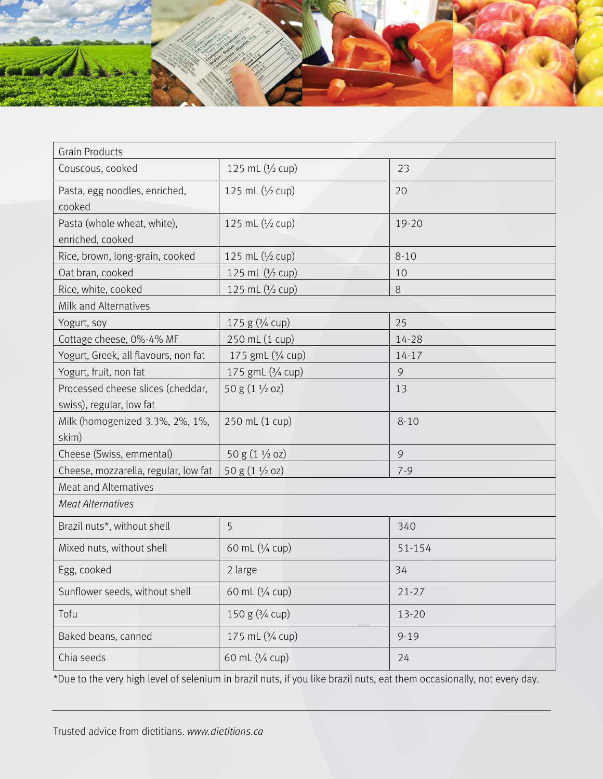

| <b>Grain Products</b>                |                           |           |  |  |
|--------------------------------------|---------------------------|-----------|--|--|
| Couscous, cooked                     | 125 mL $(1/2$ cup)        | 23        |  |  |
| Pasta, egg noodles, enriched,        | 125 mL $(1/2$ cup)        | 20        |  |  |
| cooked                               |                           |           |  |  |
| Pasta (whole wheat, white),          | 125 mL (1/2 cup)          | 19-20     |  |  |
| enriched, cooked                     |                           |           |  |  |
| Rice, brown, long-grain, cooked      | 125 mL $(1/2$ cup)        | $8 - 10$  |  |  |
| Oat bran, cooked                     | 125 mL $(1/2$ cup)        | 10        |  |  |
| Rice, white, cooked                  | 125 mL $(1/2$ cup)        | $8\,$     |  |  |
| Milk and Alternatives                |                           |           |  |  |
| Yogurt, soy                          | 175 g $(3/4$ cup)         | 25        |  |  |
| Cottage cheese, 0%-4% MF             | 250 mL (1 cup)            | 14-28     |  |  |
| Yogurt, Greek, all flavours, non fat | 175 gmL (3/4 cup)         | $14 - 17$ |  |  |
| Yogurt, fruit, non fat               | 175 gmL (3/4 cup)         | 9         |  |  |
| Processed cheese slices (cheddar,    | 50 g $(1 \frac{1}{2}$ oz) | 13        |  |  |
| swiss), regular, low fat             |                           |           |  |  |
| Milk (homogenized 3.3%, 2%, 1%,      | 250 mL (1 cup)            | $8 - 10$  |  |  |
| skim)                                |                           |           |  |  |
| Cheese (Swiss, emmental)             | 50 g $(1 \frac{1}{2}$ oz) | 9         |  |  |
| Cheese, mozzarella, regular, low fat | 50 g $(1 \frac{1}{2}$ oz) | $7 - 9$   |  |  |
| Meat and Alternatives                |                           |           |  |  |
| <b>Meat Alternatives</b>             |                           |           |  |  |
| Brazil nuts*, without shell          | 5                         | 340       |  |  |
| Mixed nuts, without shell            | 60 mL (1/4 cup)           | 51-154    |  |  |
| Egg, cooked                          | 2 large                   | 34        |  |  |
| Sunflower seeds, without shell       | 60 mL (1/4 cup)           | $21 - 27$ |  |  |
| Tofu                                 | 150 g (3/4 cup)           | 13-20     |  |  |
| Baked beans, canned                  | 175 mL (3/4 cup)          | $9 - 19$  |  |  |
| Chia seeds                           | 60 mL (1/4 cup)           | 24        |  |  |

\*Due to the very high level of selenium in brazil nuts, if you like brazil nuts, eat them occasionally, not every day.